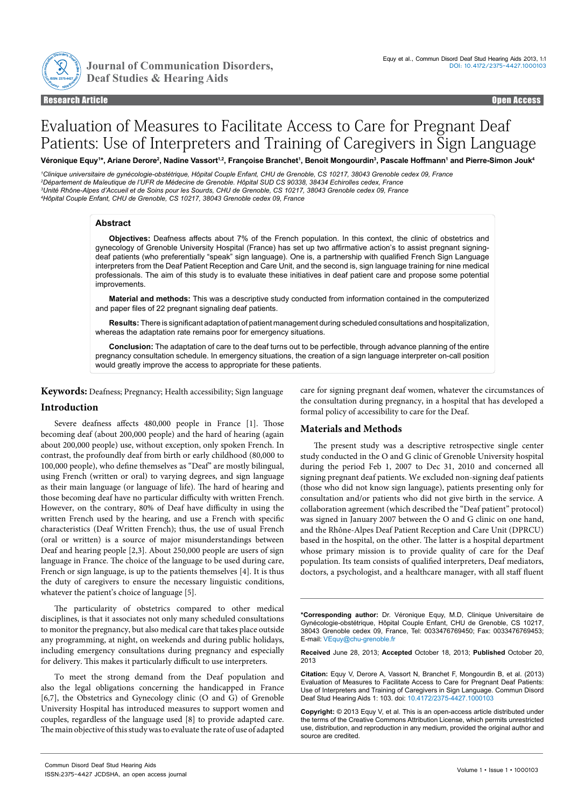

Journal of Communication Disorders,

Research Article Open Access Research Article Open Access

# Evaluation of Measures to Facilitate Access to Care for Pregnant Deaf Patients: Use of Interpreters and Training of Caregivers in Sign Language

Véronique Equy<sup>1\*</sup>, Ariane Derore<sup>2</sup>, Nadine Vassort<sup>1.2</sup>, Françoise Branchet<sup>1</sup>, Benoit Mongourdin<sup>3</sup>, Pascale Hoffmann1 and Pierre-Simon Jouk<sup>4</sup>

 *Clinique universitaire de gynécologie-obstétrique, Hôpital Couple Enfant, CHU de Grenoble, CS 10217, 38043 Grenoble cedex 09, France Département de Maïeutique de l'UFR de Médecine de Grenoble. Hôpital SUD CS 90338, 38434 Echirolles cedex, France Unité Rhône-Alpes d'Accueil et de Soins pour les Sourds, CHU de Grenoble, CS 10217, 38043 Grenoble cedex 09, France Hôpital Couple Enfant, CHU de Grenoble, CS 10217, 38043 Grenoble cedex 09, France*

## **Abstract**

**Objectives:** Deafness affects about 7% of the French population. In this context, the clinic of obstetrics and gynecology of Grenoble University Hospital (France) has set up two affirmative action's to assist pregnant signingdeaf patients (who preferentially "speak" sign language). One is, a partnership with qualified French Sign Language interpreters from the Deaf Patient Reception and Care Unit, and the second is, sign language training for nine medical professionals. The aim of this study is to evaluate these initiatives in deaf patient care and propose some potential improvements.

**Material and methods:** This was a descriptive study conducted from information contained in the computerized and paper files of 22 pregnant signaling deaf patients.

**Results:** There is significant adaptation of patient management during scheduled consultations and hospitalization, whereas the adaptation rate remains poor for emergency situations.

**Conclusion:** The adaptation of care to the deaf turns out to be perfectible, through advance planning of the entire pregnancy consultation schedule. In emergency situations, the creation of a sign language interpreter on-call position would greatly improve the access to appropriate for these patients.

**Keywords:** Deafness; Pregnancy; Health accessibility; Sign language

# **Introduction**

Severe deafness affects 480,000 people in France [1]. Those becoming deaf (about 200,000 people) and the hard of hearing (again about 200,000 people) use, without exception, only spoken French. In contrast, the profoundly deaf from birth or early childhood (80,000 to 100,000 people), who define themselves as "Deaf" are mostly bilingual, using French (written or oral) to varying degrees, and sign language as their main language (or language of life). The hard of hearing and those becoming deaf have no particular difficulty with written French. However, on the contrary, 80% of Deaf have difficulty in using the written French used by the hearing, and use a French with specific characteristics (Deaf Written French); thus, the use of usual French (oral or written) is a source of major misunderstandings between Deaf and hearing people [2,3]. About 250,000 people are users of sign language in France. The choice of the language to be used during care, French or sign language, is up to the patients themselves [4]. It is thus the duty of caregivers to ensure the necessary linguistic conditions, whatever the patient's choice of language [5].

The particularity of obstetrics compared to other medical disciplines, is that it associates not only many scheduled consultations to monitor the pregnancy, but also medical care that takes place outside any programming, at night, on weekends and during public holidays, including emergency consultations during pregnancy and especially for delivery. This makes it particularly difficult to use interpreters.

To meet the strong demand from the Deaf population and also the legal obligations concerning the handicapped in France [6,7], the Obstetrics and Gynecology clinic (O and G) of Grenoble University Hospital has introduced measures to support women and couples, regardless of the language used [8] to provide adapted care. The main objective of this study was to evaluate the rate of use of adapted care for signing pregnant deaf women, whatever the circumstances of the consultation during pregnancy, in a hospital that has developed a formal policy of accessibility to care for the Deaf.

# **Materials and Methods**

The present study was a descriptive retrospective single center study conducted in the O and G clinic of Grenoble University hospital during the period Feb 1, 2007 to Dec 31, 2010 and concerned all signing pregnant deaf patients. We excluded non-signing deaf patients (those who did not know sign language), patients presenting only for consultation and/or patients who did not give birth in the service. A collaboration agreement (which described the "Deaf patient" protocol) was signed in January 2007 between the O and G clinic on one hand, and the Rhône-Alpes Deaf Patient Reception and Care Unit (DPRCU) based in the hospital, on the other. The latter is a hospital department whose primary mission is to provide quality of care for the Deaf population. Its team consists of qualified interpreters, Deaf mediators, doctors, a psychologist, and a healthcare manager, with all staff fluent

**<sup>\*</sup>Corresponding author:** Dr. Véronique Equy, M.D, Clinique Universitaire de Gynécologie-obstétrique, Hôpital Couple Enfant, CHU de Grenoble, CS 10217, 38043 Grenoble cedex 09, France, Tel: 0033476769450; Fax: 0033476769453; E-mail: VEquy@chu-grenoble.fr

**Received** June 28, 2013; **Accepted** October 18, 2013; **Published** October 20, 2013

**Citation:** Equy V, Derore A, Vassort N, Branchet F, Mongourdin B, et al. (2013) Evaluation of Measures to Facilitate Access to Care for Pregnant Deaf Patients: Use of Interpreters and Training of Caregivers in Sign Language. Commun Disord Deaf Stud Hearing Aids 1: 103. doi: 10.4172/2375-4427.1000103

**Copyright:** © 2013 Equy V, et al. This is an open-access article distributed under the terms of the Creative Commons Attribution License, which permits unrestricted use, distribution, and reproduction in any medium, provided the original author and source are credited.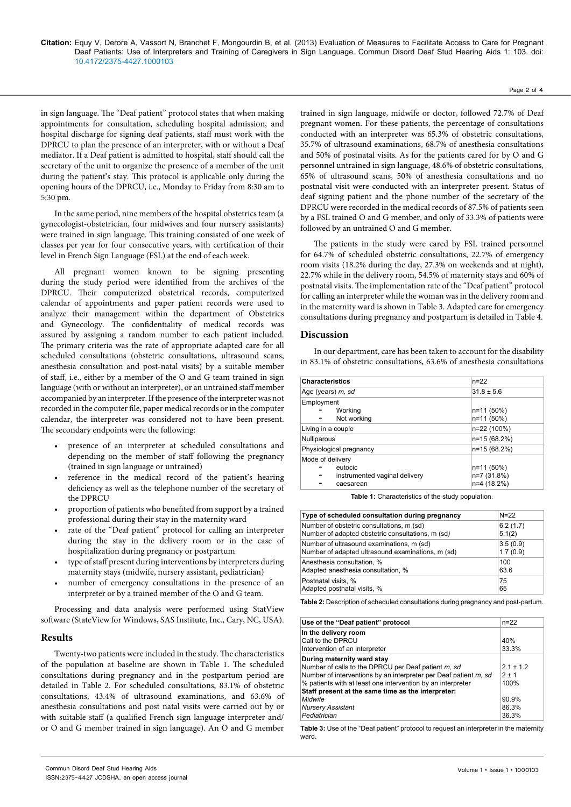**Citation:** Equy V, Derore A, Vassort N, Branchet F, Mongourdin B, et al. (2013) Evaluation of Measures to Facilitate Access to Care for Pregnant Deaf Patients: Use of Interpreters and Training of Caregivers in Sign Language. Commun Disord Deaf Stud Hearing Aids 1: 103. doi: 10.4172/2375-4427.1000103

in sign language. The "Deaf patient" protocol states that when making appointments for consultation, scheduling hospital admission, and hospital discharge for signing deaf patients, staff must work with the DPRCU to plan the presence of an interpreter, with or without a Deaf mediator. If a Deaf patient is admitted to hospital, staff should call the secretary of the unit to organize the presence of a member of the unit during the patient's stay. This protocol is applicable only during the opening hours of the DPRCU, i.e., Monday to Friday from 8:30 am to 5:30 pm.

In the same period, nine members of the hospital obstetrics team (a gynecologist-obstetrician, four midwives and four nursery assistants) were trained in sign language. This training consisted of one week of classes per year for four consecutive years, with certification of their level in French Sign Language (FSL) at the end of each week.

All pregnant women known to be signing presenting during the study period were identified from the archives of the DPRCU. Their computerized obstetrical records, computerized calendar of appointments and paper patient records were used to analyze their management within the department of Obstetrics and Gynecology. The confidentiality of medical records was assured by assigning a random number to each patient included. The primary criteria was the rate of appropriate adapted care for all scheduled consultations (obstetric consultations, ultrasound scans, anesthesia consultation and post-natal visits) by a suitable member of staff, i.e., either by a member of the O and G team trained in sign language (with or without an interpreter), or an untrained staff member accompanied by an interpreter. If the presence of the interpreter was not recorded in the computer file, paper medical records or in the computer calendar, the interpreter was considered not to have been present. The secondary endpoints were the following:

- presence of an interpreter at scheduled consultations and depending on the member of staff following the pregnancy (trained in sign language or untrained)
- reference in the medical record of the patient's hearing deficiency as well as the telephone number of the secretary of the DPRCU
- proportion of patients who benefited from support by a trained professional during their stay in the maternity ward
- rate of the "Deaf patient" protocol for calling an interpreter during the stay in the delivery room or in the case of hospitalization during pregnancy or postpartum
- type of staff present during interventions by interpreters during maternity stays (midwife, nursery assistant, pediatrician)
- number of emergency consultations in the presence of an interpreter or by a trained member of the O and G team.

Processing and data analysis were performed using StatView software (StateView for Windows, SAS Institute, Inc., Cary, NC, USA).

#### **Results**

Twenty-two patients were included in the study. The characteristics of the population at baseline are shown in Table 1. The scheduled consultations during pregnancy and in the postpartum period are detailed in Table 2. For scheduled consultations, 83.1% of obstetric consultations, 43.4% of ultrasound examinations, and 63.6% of anesthesia consultations and post natal visits were carried out by or with suitable staff (a qualified French sign language interpreter and/ or O and G member trained in sign language). An O and G member

trained in sign language, midwife or doctor, followed 72.7% of Deaf pregnant women. For these patients, the percentage of consultations conducted with an interpreter was 65.3% of obstetric consultations, 35.7% of ultrasound examinations, 68.7% of anesthesia consultations and 50% of postnatal visits. As for the patients cared for by O and G personnel untrained in sign language, 48.6% of obstetric consultations, 65% of ultrasound scans, 50% of anesthesia consultations and no postnatal visit were conducted with an interpreter present. Status of deaf signing patient and the phone number of the secretary of the DPRCU were recorded in the medical records of 87.5% of patients seen by a FSL trained O and G member, and only of 33.3% of patients were followed by an untrained O and G member.

The patients in the study were cared by FSL trained personnel for 64.7% of scheduled obstetric consultations, 22.7% of emergency room visits (18.2% during the day, 27.3% on weekends and at night), 22.7% while in the delivery room, 54.5% of maternity stays and 60% of postnatal visits. The implementation rate of the "Deaf patient" protocol for calling an interpreter while the woman was in the delivery room and in the maternity ward is shown in Table 3. Adapted care for emergency consultations during pregnancy and postpartum is detailed in Table 4.

#### **Discussion**

In our department, care has been taken to account for the disability in 83.1% of obstetric consultations, 63.6% of anesthesia consultations

| <b>Characteristics</b>                                                    | $n = 22$                                 |  |
|---------------------------------------------------------------------------|------------------------------------------|--|
| Age (years) m, sd                                                         | $31.8 \pm 5.6$                           |  |
| Employment<br>Working<br>Not working                                      | n=11 (50%)<br>n=11 (50%)                 |  |
| Living in a couple                                                        | n=22 (100%)                              |  |
| Nulliparous                                                               | n=15 (68.2%)                             |  |
| Physiological pregnancy                                                   | n=15 (68.2%)                             |  |
| Mode of delivery<br>eutocic<br>instrumented vaginal delivery<br>caesarean | n=11 (50%)<br>n=7 (31.8%)<br>n=4 (18.2%) |  |

**Table 1:** Characteristics of the study population.

| Type of scheduled consultation during pregnancy   | $N = 22$ |
|---------------------------------------------------|----------|
| Number of obstetric consultations, m (sd)         | 6.2(1.7) |
| Number of adapted obstetric consultations, m (sd) | 5.1(2)   |
| Number of ultrasound examinations, m (sd)         | 3.5(0.9) |
| Number of adapted ultrasound examinations, m (sd) | 1.7(0.9) |
| Anesthesia consultation, %                        | 100      |
| Adapted anesthesia consultation, %                | 63.6     |
| Postnatal visits, %                               | 75       |
| Adapted postnatal visits, %                       | 65       |

**Table 2:** Description of scheduled consultations during pregnancy and post-partum.

| Use of the "Deaf patient" protocol                               | $n = 22$  |
|------------------------------------------------------------------|-----------|
| In the delivery room                                             |           |
| Call to the DPRCU                                                | 40%       |
| Intervention of an interpreter                                   | 33.3%     |
| During maternity ward stay                                       |           |
| Number of calls to the DPRCU per Deaf patient m, sd              | $21 + 12$ |
| Number of interventions by an interpreter per Deaf patient m, sd | $2 + 1$   |
| % patients with at least one intervention by an interpreter      | 100%      |
| Staff present at the same time as the interpreter:               |           |
| Midwife                                                          | 90.9%     |
| <b>Nursery Assistant</b>                                         | 86.3%     |
| Pediatrician                                                     | 36.3%     |

**Table 3:** Use of the "Deaf patient" protocol to request an interpreter in the maternity ward.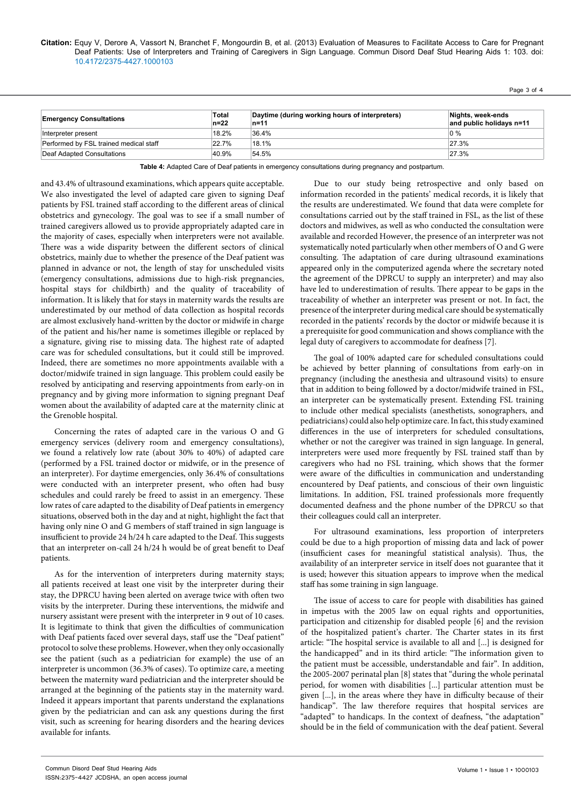### **Citation:** Equy V, Derore A, Vassort N, Branchet F, Mongourdin B, et al. (2013) Evaluation of Measures to Facilitate Access to Care for Pregnant Deaf Patients: Use of Interpreters and Training of Caregivers in Sign Language. Commun Disord Deaf Stud Hearing Aids 1: 103. doi: 10.4172/2375-4427.1000103

Page 3 of 4

| <b>Emergency Consultations</b>         | Total<br>$n=22$ | Daytime (during working hours of interpreters)<br>n=11 | Nights, week-ends<br>and public holidays n=11 |
|----------------------------------------|-----------------|--------------------------------------------------------|-----------------------------------------------|
| Interpreter present                    | 18.2%           | 36.4%                                                  | $0\%$                                         |
| Performed by FSL trained medical staff | 22.7%           | 18.1%                                                  | 27.3%                                         |
| Deaf Adapted Consultations             | 40.9%           | 54.5%                                                  | 27.3%                                         |

**Table 4:** Adapted Care of Deaf patients in emergency consultations during pregnancy and postpartum.

and 43.4% of ultrasound examinations, which appears quite acceptable. We also investigated the level of adapted care given to signing Deaf patients by FSL trained staff according to the different areas of clinical obstetrics and gynecology. The goal was to see if a small number of trained caregivers allowed us to provide appropriately adapted care in the majority of cases, especially when interpreters were not available. There was a wide disparity between the different sectors of clinical obstetrics, mainly due to whether the presence of the Deaf patient was planned in advance or not, the length of stay for unscheduled visits (emergency consultations, admissions due to high-risk pregnancies, hospital stays for childbirth) and the quality of traceability of information. It is likely that for stays in maternity wards the results are underestimated by our method of data collection as hospital records are almost exclusively hand-written by the doctor or midwife in charge of the patient and his/her name is sometimes illegible or replaced by a signature, giving rise to missing data. The highest rate of adapted care was for scheduled consultations, but it could still be improved. Indeed, there are sometimes no more appointments available with a doctor/midwife trained in sign language. This problem could easily be resolved by anticipating and reserving appointments from early-on in pregnancy and by giving more information to signing pregnant Deaf women about the availability of adapted care at the maternity clinic at the Grenoble hospital.

Concerning the rates of adapted care in the various O and G emergency services (delivery room and emergency consultations), we found a relatively low rate (about 30% to 40%) of adapted care (performed by a FSL trained doctor or midwife, or in the presence of an interpreter). For daytime emergencies, only 36.4% of consultations were conducted with an interpreter present, who often had busy schedules and could rarely be freed to assist in an emergency. These low rates of care adapted to the disability of Deaf patients in emergency situations, observed both in the day and at night, highlight the fact that having only nine O and G members of staff trained in sign language is insufficient to provide 24 h/24 h care adapted to the Deaf. This suggests that an interpreter on-call 24 h/24 h would be of great benefit to Deaf patients.

As for the intervention of interpreters during maternity stays; all patients received at least one visit by the interpreter during their stay, the DPRCU having been alerted on average twice with often two visits by the interpreter. During these interventions, the midwife and nursery assistant were present with the interpreter in 9 out of 10 cases. It is legitimate to think that given the difficulties of communication with Deaf patients faced over several days, staff use the "Deaf patient" protocol to solve these problems. However, when they only occasionally see the patient (such as a pediatrician for example) the use of an interpreter is uncommon (36.3% of cases). To optimize care, a meeting between the maternity ward pediatrician and the interpreter should be arranged at the beginning of the patients stay in the maternity ward. Indeed it appears important that parents understand the explanations given by the pediatrician and can ask any questions during the first visit, such as screening for hearing disorders and the hearing devices available for infants.

Due to our study being retrospective and only based on information recorded in the patients' medical records, it is likely that the results are underestimated. We found that data were complete for consultations carried out by the staff trained in FSL, as the list of these doctors and midwives, as well as who conducted the consultation were available and recorded However, the presence of an interpreter was not systematically noted particularly when other members of O and G were consulting. The adaptation of care during ultrasound examinations appeared only in the computerized agenda where the secretary noted the agreement of the DPRCU to supply an interpreter) and may also have led to underestimation of results. There appear to be gaps in the traceability of whether an interpreter was present or not. In fact, the presence of the interpreter during medical care should be systematically recorded in the patients' records by the doctor or midwife because it is a prerequisite for good communication and shows compliance with the legal duty of caregivers to accommodate for deafness [7].

The goal of 100% adapted care for scheduled consultations could be achieved by better planning of consultations from early-on in pregnancy (including the anesthesia and ultrasound visits) to ensure that in addition to being followed by a doctor/midwife trained in FSL, an interpreter can be systematically present. Extending FSL training to include other medical specialists (anesthetists, sonographers, and pediatricians) could also help optimize care. In fact, this study examined differences in the use of interpreters for scheduled consultations, whether or not the caregiver was trained in sign language. In general, interpreters were used more frequently by FSL trained staff than by caregivers who had no FSL training, which shows that the former were aware of the difficulties in communication and understanding encountered by Deaf patients, and conscious of their own linguistic limitations. In addition, FSL trained professionals more frequently documented deafness and the phone number of the DPRCU so that their colleagues could call an interpreter.

For ultrasound examinations, less proportion of interpreters could be due to a high proportion of missing data and lack of power (insufficient cases for meaningful statistical analysis). Thus, the availability of an interpreter service in itself does not guarantee that it is used; however this situation appears to improve when the medical staff has some training in sign language.

The issue of access to care for people with disabilities has gained in impetus with the 2005 law on equal rights and opportunities, participation and citizenship for disabled people [6] and the revision of the hospitalized patient's charter. The Charter states in its first article: "The hospital service is available to all and [...] is designed for the handicapped" and in its third article: "The information given to the patient must be accessible, understandable and fair". In addition, the 2005-2007 perinatal plan [8] states that "during the whole perinatal period, for women with disabilities [...] particular attention must be given [...], in the areas where they have in difficulty because of their handicap". The law therefore requires that hospital services are "adapted" to handicaps. In the context of deafness, "the adaptation" should be in the field of communication with the deaf patient. Several